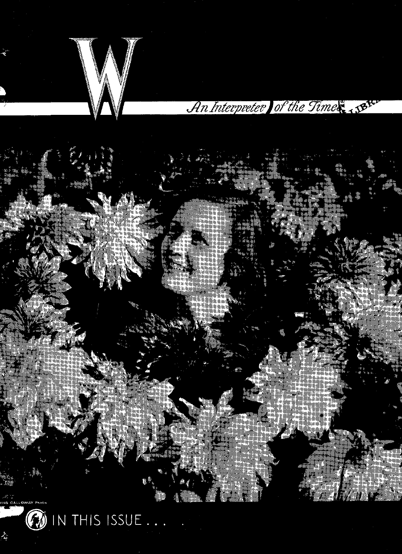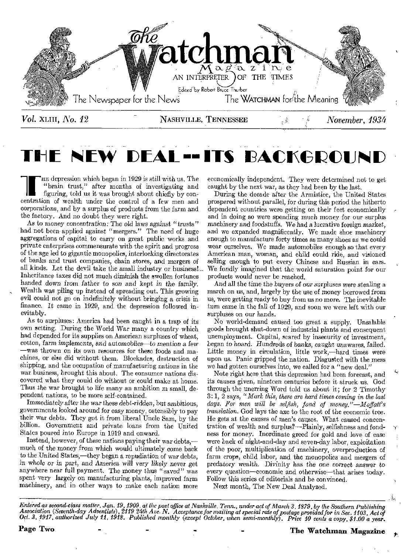

# L**--ITS BACKGROUN**

The depression which began in 1929 is still with us. The rain trust," after figuring, told us it was brought about chiefly by concentration of wealth under the control of a few men and corporations, and by a surplus of products from the farm and the factory. And no doubt they were right.

As to *money* concentration: The old laws *against "trusts"*  had not been applied against "mergers." The need of huge aggregations of capital to carry on great public works and private enterprises commensurate with the spirit and progress of the age led to gigantic monopolies, interlocking directorates of banks and trust companies, chain stores, and mergers of all kinds. Let the devil take the small industry or business!,.. Inheritance taxes did not much diminish the swollen fortunes banded down *from father to son and kept in the family.*  Wealth was piling up instead of spreading out. This growing evil could not go on indefinitely without bringing a crisis in finance, It came in 1929, and the depression followed inevitably.

As to surpluses: America had been caught in a trap of its own setting. During the World War many a country which had depended for its supplies on American surpluses of wheat, cotton, farm *implements,* and *automobiles—to* mention a few *—was* thrown on its own resources for these foods and machines, or else did without them. Blockades, destruction of shipping, and the occupation of manufacturing nations in the war business, brought this about. The consumer nations discovered what they could do without or could make at home. Thus the war brought to life many an ambition in small, dependent nations, to be more self-contained.

Immediately *after* the war these debt-ridden, but ambitious, governments looked around for easy money, ostensibly to pay their war debts. They got it from liberal Uncle Sam, by the billion. Government and private loans from the United States poured into Europe in 1919 and onward.

Instead, however, of these nations paying their war debts, much of the money from which would ultimately come back to the United States,—they began a repudiation of war debts, in whole or in *part,* and *America will very* likely *never get*  anywhere near full payment. The money thus "saved" was spent very largely on manufacturing plants, improved farm machinery, and in other ways to make each nation more

economically independent. They were determined not to get caught by the next war, as they had been by the last.

During the decade after the Armistice, the United States prospered without parallel, for during this period the hitherto dependent countries were getting on their feet economically and in doing so were spending much money for our surplus machinery and *foodstuffs.* We had a lucrative foreign market, and we expanded magnificently. We made shoe machinery enough to manufacture forty times as many shoes as we could wear ourselves. We made automobiles enough so that every American man, woman, and child could ride, and visioned selling enough to put every Chinese and Russian in cars. We fondly imagined that the world saturation point for our products would never be reached.

And all the time the *buyers of* our surpluses were stealing a march on us, and, largely by the use of money borrowed from us, were getting ready to buy from us no more. The inevitable turn came in the fall of 1929, and soon we were left with our surpluses on our hands.

No world-demand caused too great a supply. Unsalable goods brought shut-down of industrial plants and consequent unemployment. Capital, scared by insecurity of investment, *began to* hoard. *Hundreds of* banks, caught *unawares,* failed. Little money in circulation, little work,—hard times were upon us. Panic gripped the nation. Disgusted with the mess we had gotten ourselves into, we called for a "new deal."

Note right here that this depression had been forecast, and its causes given, nineteen centuries before it struck us. God through the unerring Word told us about it; for 2 Timothy 3: 1, 2 says, *"Mark this, there are hard times coming in the last days. For men will be selfish, fond of money."—Moffatt's translation.* God lays the axe to the root of the economic tree. He gets at the causes of men's causes. What caused concentration of wealth and surplus?—Plainly, selfishness and fondness for money. Inordinate greed for gold and love of ease were back of night-and-day and seven-day labor, exploitation of the poor, multiplication of machinery, overproduction of farm crops, child labor, and the monopolies and mergers of *predatory* wealth. *Divinity has the one correct answer* to every question—economic and otherwise—that arises today. Follow this series of editorials and be convinced.

Next month, The New Deal Analyzed.

*Entered as second-class matter, Jan. 19, 1909. at the post office at Nashville, Tenn., under act of March 3, 1879, by the Southern Publishing*  Association (Seventh-day Adventists), 2119–24th Ave. N. Acceptance for mailing at special rate of postage provided for in Sec. 1103, Act of<br>Oct. 3, 1917, authorized July 11, 1918. Published monthly (except October, when se

Page Two  $\qquad \qquad \qquad \qquad -$  The Watchman Magazine

1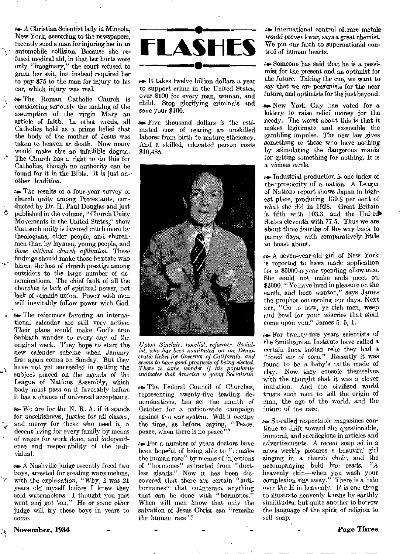so- A Christian Scientist lady in Mineola, New York, according to the newspapers, recently sued a man for injuring her in an automobile collision. Because she refused medical aid, in that her hurts were only "imaginary," the court refused to grant her suit, but instead required her to pay \$75 to the man for injury to his car, which injury was real.

as. The Roman Catholic Church is considering seriously the making of the assumption of the virgin Mary an article of faith. In other words, all Catholics hold as a prime belief that the body of the mother of Jesus was taken to heaven at death. Now many would make this an infallible dogma. The Church has a right to do this for Catholics, though no authority can be found for it in the Bible. It is just an other tradition.

**Proper The results of a four-year survey of** church unity among Protestants, conducted by Dr. H. Paul Douglas and just  $\circ$  published in the volume, "Church Unity" Movements in the United States," show that such unity is favored much more by theologians, older people, and churchmen than by laymen*,* young people, and *those without church affdiation.* These findings should make those hesitate who blame the loss of church prestige among outsiders to the large number of denominations. The chief fault of all the churches is lack *of* spiritual power, not lack of organic union. Power with men will inevitably follow power with God.

The reformers favoring an international calendar are still very active. Their plans would make God's true Sabbath wander to every day of the original week. They hope to start the' new *ealender scheme when* January first again comes on Sunday. But they have not yet succeeded in getting the subject placed on the agenda of the League of Nations Assembly, which body must pass on it favorably before it has a chance of universal acceptance.

.940. We are for the N. R. A. if it stands for unselfishness, *justice for* all classes, and mercy for those who need it, a decent living for every family by means of wages for work done, and independence and respectability of the individual.

as. A Nashville judge recently freed two boys, arrested for stealing watermelons, with the explanation, "Why, I was  $21$ years old myself before I knew they sold watermelons. I thought you just went and got 'em." Ile or some other judge will try these boys in years to come.



**s** It takes twelve billion dollars a year to support crime in the United States, over \$100 for every man, woman, and child. Stop glorifying criminals and save your \$100.

 $\bullet\bullet$  Five thousand dollars is the estimated cost of rearing an unskilled laborer from birth to mature efficiency. And a skilled, educated person costs \$10,485.



*Upton Sinclair, novelist, reformer, Social ist, who has been nominated on the Democratic ticket for Governor of California, and seems to have good prospects of being elected. There is some wonder if his popularity indicates that America is going Socialistic.* 

se. The Federal Council of Churches, representing twenty-five leading denominations, has set the month of October for a nation-wide campaign against the war system. Will it occupy the time, as before, saying, "Peace, peace, when there is no peace"?

**Example For a number of years doctors have** been hopeful of being able to "remake the human race" by means of injections of "hormones" extracted from "ductless glands." Now it has been discovered that there are certain "antihormones" that counteract anything that can be done with "hormones." When will men know that only the salvation of Jesus Christ can "remake the human race"?

as International control of, rare metals would prevent war, says a great chemist. We pin our faith to supemational control of human hearts.

sa Someone has said that he is a pessimist for the present and an optimist for the *future.* Taking the cue, we want to say that we are pessimists for the near future, and optimists for the just beyond.

se. New York City has voted for a lottery to raise relief money for the needy. The worst about this is that it makes legitimate and excusable the gambling impulse. The new law gives something to those who have nothing by stimulating the dangerous mania for getting something for nothing. It is a *vicious* circle.

*as* Industrial production is one index of the-prosperity of a nation. A League of Nations report shows Japan in highest place, producing 139.8 per cent of what she did in 1928. Great Britain is fifth with 103.3, and the United States eleventh with 77.5. Thus we are about three fourths of the way back to palmy days, with comparatively little to boast about.

ao. A seven-year-old girl of New York is reported to have made application for a \$5000-a-year spending allowance. She could not make ends meet on \$3000. "Ye have lived in pleasure on the earth, and been wanton," says James the prophet concerning our days. Next act, "Go to now, ye rich men, weep and howl for your miseries that shall come upon you." James 5: 5, 1.

so. For twenty-five years scientists of the Smithsonian Institute have called a certain Inca Indian relic they had a *"fossil* ear *of corn."* Recently it was found to be a baby's rattle made of clay. Now they console themselves with the thought that it *was* a clever imitation. And the civilized world trusts such men to tell the origin of man, the age of the world, and the future of the race.

so. So-called respectable magazines continue to drift toward the questionable, immoral, and sacrilegious in articles and advertisements. A recent soap ad in a news weekly pictures a beautiful girl singing in a church choir, and the accompanying bold line reads, "A heavenly skin—when you wash your complexion sins away." 'There is a halo over the H in heavenly. It is one thing to illustrate heavenly truths by earthly similitudes, but quite another to borrow the language of the spirit of religion to sell soap.

; November, 1934 Page *Three*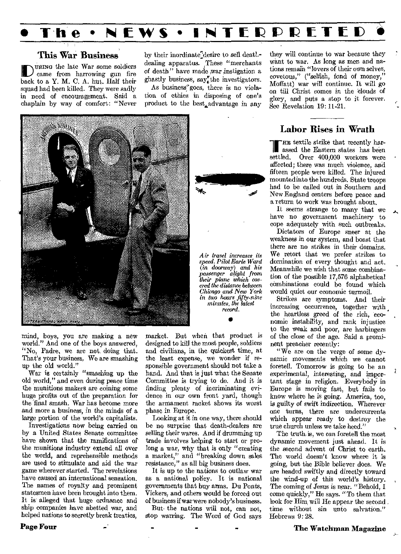## **• The • NEWS • INTEIRIPIPIETIEID**

#### This War **Business**

IDURING the late War some soldiers came from harrowing gun fire back to a Y. M. C. A. hut. Half their squad had been killed. They were sadly in need of encouragement. Said a chaplain by way of comfort: "Never

by their inordinate<sup>7</sup>desire to sell deatl.dealing apparatus. These "merchants of death" have made war instigation a ghastly business, say<sup>\*</sup>the investigators.

As business'goes, there is no violation of ethics in disposing of one's product to the best advantage in any



mind, boys, you are making a new world." And one of the boys answered, "No, Padre, we are not doing that. That's ybur business, We are smashing up the old world."

War is certainly "smashing up the old world," and even during peace time the munitions makers are coining some huge profits out of the preparation for the 'final smash. War has become more and more a business, in the minds of a large portion of the world's capitalists.

Investigations now being carried on by a United States Senate committee have shown that the ramifications of the munitions industry extend all over the world, and reprehensible methods are used to stimulate and aid the war game wherever started. The revelations have caused an international sensation. The names of royalty and prominent statesmen have been brought into them. It is alleged that huge ordnance and ship companies have abetted war, and helped nations to secretly break treaties,

*record.*  • market. But when that product is designed to kill the most people, soldiers and civilians, in the quickest time, at the least expense, we wonder if responsible government should not take a hand. And that is just what the Senate Committee is trying to do. And it is finding plenty of incriminating evidence in our own front yard, though the armament racket shows its worst

*Air travel increases its speed. Pilot Earle Ward (in doorway) and his passenger alight from their plane which covered the distance between Chicago and New York in two hours fifty-nine minutes, the latest* 

Looking at it in one way, there should be no surprise that death-dealers are selling their wares. And if drumming up trade involves helping to start or prolong a war, why that is only "creating a market," and "breaking down sales resistance," as all big business does.

phase in Europe.

It is up to the nations to outlaw war as a national policy. It is national governments that buy arms. Du Ponts, Vickers, and others would be forced out of business if war were nobody's business.

But- the nations will not, can not, stop warring. The Word of God says they will continue to war because they want to war. As long as men and nations remain "lovers of their own selves, covetous," ("selfish, fond of money," Moffatt) war will continue. It will go on till Christ comes in the clouds of glory, and puts a stop to it forever. See Revelation 19: 11-21.

#### Labor Rises in Wrath

In textile strike that recently har-III assed the Eastern states has been<br>settled. Over 400,000 workers were Over 400,000 workers were affected; there was much violence, and fifteen people were killed. The injured mounted into the hundreds. State troops had to be called out in Southern and New England centers before peace and a return to work was brought about.

It seems strange to many that we have no government machinery to cope adequately with such outbreaks.

Dictators of Europe sneer at the weakness in our system, and boast that there are no strikes in their domains. We retort that we prefer strikes to domination of every thought and act. Meanwhile we wish that some combination of the possible 17,576 alphabetical combinations could be found which would quiet our economic turmoil.

Strikes are symptoms. And their increasing occurrence, together with , the heartless greed of the rich, economic instability, and rank injustice to the weak and poor, are harbingers of the close of the age. Said a prominent preacher recently:

"We are on the verge of some dynamic movements which we cannot foretell. Tomorrow is going to be an experimental, interesting, and important stage in religion. Everybody in Europe is moving fast, but fails to know where he is going. America, too, is guilty of swift indirection. Wherever one turns, there are undercurrents which appear ready to destroy the true church unless we take heed."

The truth is, we can foretell the most dynamic movement just ahead. It is the second advent of Christ to earth-. The world doesn't know where it is going, but the Bible believer does. We are headed swiftly and directly toward the wind-up of this world's history. The coming of Jesus is near. "Behold, I come quickly," He says. "To them that look for Him will He appear the second, time without sin unto salvation." Hebrews 9:28.

Page Four

The Watchman Magazine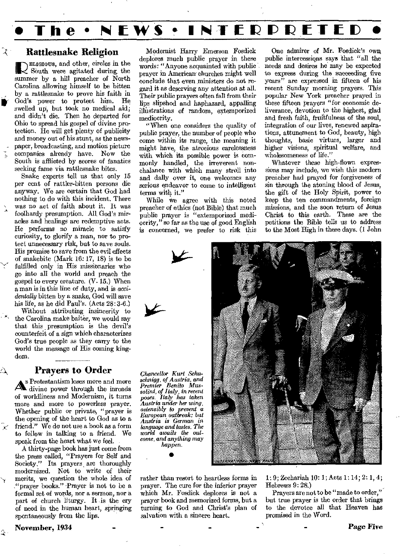

#### Rattlesnake Religion

 $\mathbb{R}^+$ 

Δ,

 $\hat{\mathbf{r}}$ 

ELIGIOUS, and other, circles in the<br>South were agitated during the<br>manage has a hill procedure of North South were agitated during the summer by a hill preacher of North Carolina allowing himself to be bitten by a rattlesnake to prove his faith in God's power to protect him. He Carolina allowing himself to be bitten<br>by a rattlesnake to prove his faith in<br>God's power to protect him. He<br>swelled up, but took no medical aid; and didn't die. Then he departed for Ohio to spread his gospel of divine protection. He will get plenty of publicity and money out of his stunt, as the news paper, broadcasting, and motion picture companies already have. Now the South is afflicted by scores of fanatics seeking fame via rattlesnake bites.

Snake experts tell us that only 15 per cent of rattler-bitten persons die anyway. We are certain that God had nothing to do with this incident. There was no act of faith about it. It was foolhardy presumption. All God's miracles and healings are redemptive acts. He performs no miracle to satisfy curiosity, to glorify a man, nor to protect unnecessary risk, but to save souls. His promise to save from the evil effects of snakebite (Mark 16: 17, 18) is to be fulfilled only in His missionaries who go into all the world and preach the gospel to every creature.  $(V, 15)$ . When a man is in this line of duty, and is *accidentally* bitten by a snake, God will save his life, as he did Paul's. (Acts 28:3-6.)

Without attributing insincerity to the Carolina snake baiter, we would say that this presumption is the devil's counterfeit of a sign which characterizes God's true people as they carry to the world the message of His coming kingdom.

#### Prayers to Order

 $\mathbf{A}^{\mathbf{s}}$ Protestantism loses more and more divine power through the inroads of worldliness and Modernism, it turns more and more to powerless prayer. Whether public or private, "prayer is the opening of the heart to God as to a  $\tilde{\mathcal{K}}$  friend." We do not use a book as a form to follow in talking to a friend. We speak from the heart what we feel.

A thirty-page book has just come from the press called, "Prayers for Self and Society." Its prayers, are thoroughly modernized. Not to write of their merits, we question the whole idea of "prayer books." Prayer is not to be a formal set of words, nor a sermon, nor a part of church liturgy. It is the cry of need in the human heart, springing spontaneously from the lips.

Modernist Harry Emerson Fosdick deplores much public prayer in these words: "Anyone acquainted with public prayer in American-churches might well conclude that even ministers do not regard it as deserving any attention at all. Their public prayers often fall from their lips slipshod and haphazard, appalling illustrations of random, extemporized mediocrity.

"When one considers the quality of public prayer, the number of people who come within its range, the meaning it might have, the atrocious carelessness with which its possible power is commonly handled, the irreverent nonchalance with which many stroll into and dally over it, one welcomes any serious endeavor to come to intelligent terms with it."

While we agree with this noted preacher of ethics (not Bible) that much public prayer is "extemporized mediocrity," so far as the use of good English is concerned, we prefer to risk this

One admirer of Mr. Fosdick's own public intercessions says that "all the needs and desires he may be expected to express during the succeeding five years" are expressed in fifteen of his recent Sunday morning prayers. This popular New York preacher prayed in these fifteen prayers "for economic deliverance, devotion to the highest, glad and fresh faith, fruitfulness of the soul, integration of our lives, renewed aspirations, attunement to God, beauty, high thoughts, basic virtues, larger and higher visions, spiritual welfare, and wholesomeness of life."

Whatever these high-flown expressions may include, we wish this modern preacher had prayed for forgiveness of sin through the atoning blood of Jesus, the gift of the Holy Spirit, power to keep the ten commandments, foreign missions, and the soon return of Jesus Christ to this earth. These are the petitions the Bible tells us to address to the Most High in these days. (1 John



rather than resort to heartless forms in prayer. The cure for the inferior prayer which Mr. Fosdick deplores is not a prayer book and memorized forms, but a turning to God and Christ's plan of salvation with a sincere heart.

1: 9; Zechariah 10: 1; Acts 1:14; 2: 1, 4, Hebrews 9: 28.)

Prayers are not to be "made to order," but true prayer is the order that brings to the devotee all that Heaven has promised in the Word.

November, 1934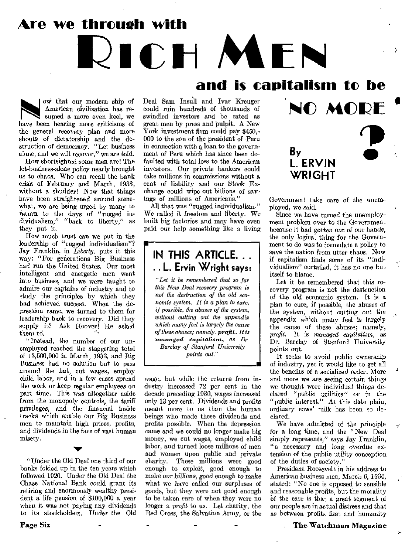**Are we throueh with** 

# **ICH MEN and is capitalism to be**

 ow that our modern ship of American civilization has resumed a more even keel, we have been hearing more criticisms of the general recovery plan and more shouts of dictatorship and the destruction of democracy. "Let business alone, and we will recover," we are told.

How shortsighted some men are! The let-business-alone policy nearly brought us to chaos. Who can recall the bank crisis of February and March, 1933, without a shudder! Now that things have been straightened around somewhat, we are being urged by many to return to the days of "rugged individualism," "back to liberty," as they put it.

How much trust can we put in the leadership of "rugged individualism"? Jay Franklin, in *Liberty,* puts it this way: "For generations Big Business had run the United States. Our most intelligent and energetic men went into business, and we were taught to admire our captains of industry and to study the principles by which they had achieved success. When the depression came, we turned to them for leadership back to recovery. Did they supply it? Ask Hoover! He asked them td.

"Instead, the number of our unemployed reached the staggering total of 13,500,000 in March, 1933, and Big Business had no solution but to pass Around the hat, cut wages, employ child labor, and in a few cases spread the work or keep regular employees on part time. This was altogether aside from the monopoly controls, the tariff privileges, and the financial inside tracks which enable our Big Business men to maintain high prices, profits, and dividends in the face of vast human misery.

"Under the Old Deal one third of our banks folded up in the ten years which followed 1920. Under the Old Deal the Chase National Bank could grant its retiring and enormously wealthy president a life pension of \$100,000 a year when it was not paying any dividends to its stockholders. Under the Old

Deal Sam Insull and Ivar Kreuger could ruin hundreds of thousands of swindled investors and be rated as great men by press and pulpit. A New York investment firm could pay \$450,-000 to the son of the president of Peru in connection with a loan to the government of Peru which has since been defaulted with total loss to the American investors. Our private bankers could take millions in commissions without a cent of liability and our Stock Exchange could wipe out billions of savings of millions of Americans."

All that was "rugged individualism." We called it freedom and liberty. We built big factories and may have even paid our help something like a living

### **IN THIS ARTICLE.. . .. L. Ervin Wright says:**

*"Let it be remembered that so far MB New Deal recovery program is not the destruction of the old economic system. It is a plan to cure, if possible, the abuses of the system, without cutting out the appendix whieh many feel is largely the cause of these abuses; namely, profit. It is managed capitalism, as Dr Barclay of Stanford University points out"* 

wage, but while the returns from in dustry increased 72 per cent in the decade preceding 1930, wages increased only 13 per cent. Dividends and profits meant more to us than the human beings who made these dividends and profits possible. When the depression came and we could no longer make big money, we cut wages, employed child labor, and turned loose millions of men and women upon public and private charity. These millions were good enough to exploit, good enough to make our billions, good enough to make what we have called our surpluses of goods, but they were not good enough to be taken care of when they were no longer a *profit* to us. Let charity, the Red Cross, the Salvation Army, or the



Government take care of the unemployed, we said.

Since we have turned the unemployment problem over to the Government because it had gotten out of *our* hands, the only logical thing for the Government to do was to formulate a policy to save the nation from utter chaos. Now if capitalism finds some of its "individualism" curtailed, it has no one but itself to blame.

Let it be remembered that this recovery program is not the destruction of the old economic system. It is a plan to cure, if possible, the abuses of the *system, without cutting* out the appendix which many feel is largely the cause of these abuses; namely, *profit.* It is *managed capitalism,* as Dr. Barclay of Stanford University points out.

It seeks to avoid public ownership of industry, yet it would like to get all the benefits of a socialized order. More and more we are seeing certain things we thought were individual things declared "public *utilities" or* in the "public interest." At this date plain, ordinary cows' milk has been so declared.

We have admitted of the principle for a long time, and the "New Deal simply represents," says Jay Franklin, "a necessary and long overdue extension of the public utility conception of the duties of society."

⊀

President Roosevelt in his address to American business men, March *6,* 1934, stated: "No one is opposed to sensible and reasonable profits, but the morality of the case is that a great segment of our people are in actual distress and that as between profits first and humanity

#### The Watchman Magazine

Page Six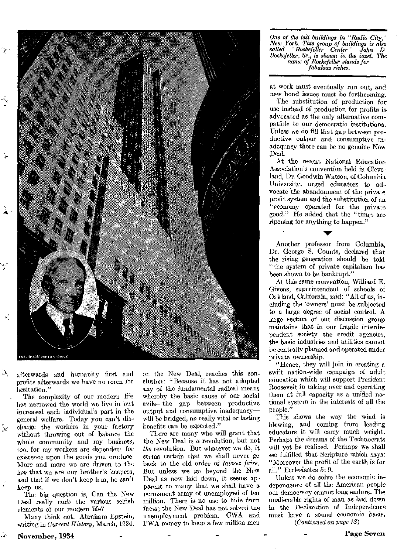

afterwards and humanity first and profits afterwards we have no room for hesitation."

 $\Delta$ 

 $\tilde{\times}$ 

 $\mathbf{v}_\mathrm{f}$ 

The complexity of our modern life has narrowed the world we live in but increased each individual's part in the general welfare. Today you can't discharge the workers in your factory without throwing out of balance the whole community and my business, too, for my workers are dependent for existence upon the goods you produce. More and more we are driven to the law that we are our brother's keepers, and that if we don't keep him, he can't keep us.

The big question is, Can the New Deal really curb the various selfish elements of our modern life?

Many think not. Abraham Epstein, writing in Current *History,* March, 1934,

November, 1934

on the New Deal, reaches this conclusion: "Because it has not adopted any of the fundamental radical means whereby the basic cause of our social evils—the gap between productive output and consumptive inadequacy will be bridged, no really vital or lasting benefits can be expected."

There are many who will grant that the New Deal is a revolution, but not the revolution. But whatever we do, it seems certain that we shall never go back to the old order of laissez faire. But unless we go beyond the New Deal as now laid down, it seems apparent to many that we shall have a permanent army of unemployed of ten million. There is no use to hide from facts; the New Deal has not solved the unemployment problem. CWA and I'WA money to keep a few million men

*One of the tall buildings in "Radio City," New fork. This group of buiklings is also called "Rockefeller Center " John I) Rockefeller, Sr., is shown in the inset. The name of Rockefeller stands for fabulous riches.* 

at work must eventually nm out, and new bond issues must be forthcoming.

The substitution of production for use instead of production for profits is advocated as the only alternative compatible to our democratic institutions. Unless we do fill that gap between productive output and consumptive inadequacy there can be no genuine New Deal.

At the recent National Education Association's convention held in Cleveland, Dr. Goodwin Watson, of Columbia University, urged educators to advocate the abandonment of the private profit system and the substitution of an "economy operated for the private good." He added that the "times are ripening for anything to happen."

Another professor from Columbia, Dr. George S. Counts, declared that the rising generation should be told "the system of private capitalism has been shown to be bankrupt."

At this same convention, Williard E. Givens, superintendent of schools of Oakland, California, said: "All of us, including the 'owners' must be subjected to a large degree of social control. A large section of our discussion group maintains that in our fragile interdependent society the credit agencies, the basic industries and utilities cannot be centrally planned and operated under private ownership.

"Hence, they will join in creating a swift nation-wide campaign of adult education which will support President Roosevelt in taking over and operating them at full capacity as a unified national system in the interests of all the people."

This shows the way the wind is blowing, and ooming from leading educators it will carry much weight. Perhaps the dreams of the Technocrats will yet be realized. Perhaps we shall see fulfilled that Scripture which says: "Moreover the profit of the earth is for all." Ecclesiastes 5: 9.

Unless we do solve the economic independence of all the American people our democracy cannot long endure. The unalienable rights of man as laid down in the Declaration of Independence must have a sound economic basis. *(Continued on page 18)* 

**Page Seven**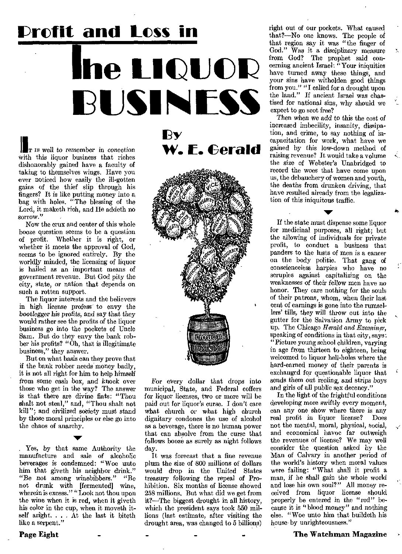# **'profit and Loss in**  the **LIQUOR !BUSINESS**

I <sup>T</sup>*is* well to *remember in* conection with this liquor business that riches dishonorably gained have a faculty of taking to themselves wings. Have you ever noticed how easily the ill-gotten gains of the thief slip through his fingers? It is like putting money into a bag with holes. "The blessing of the Lord, it maketh rich, and He addeth no sorrow."

Now the crux and center of this whole booze question seems to be a question of profit. Whether it is right, or whether it meets the approval of God, seems to be ignored entirely. By the worldly minded, the licensing of liquor is hailed as an important means of government revenue. But God pity the city, state, or nation that depends on such a rotten support.

The liquor interests and the believers in high license profess to envy the bootlegger his *profits, and say* that they would rather see the profits of the liquor business go into the pockets of Uncle Sam. But do they envy the bank robber his profits? "Oh, that is illegitimate business," they answer.

But on what basis can they prove that if the bank robber needs money badly. it is not all right for him to help himself from some cash box, and knock over those who get in the way? The answer is that there are divine fiats: "Thou shalt not steal," and, "Thou shalt not kill"; and civilized society must stand by those moral principles or else go into the chaos of anarchy.

Yes, by that same Authority the manufacture and sale of alcoholic beverages is condemned: "Woe unto him that giveth his neighbor drink." "Be not *among winebibbers."* "Be not drunk with [fermented] wine, wherein is excess." "Look not thou upon the wine when it is red, when it giveth his color in the cup, when it moveth itself aright.. . At the last it biteth like a serpent."

**By W. F. Gerald** 



For every dollar that drops into municipal, State, and Federal coffers for liquor licenses, two or more will be paid out for liquor's curse. I don't care what church or what high church dignitary condones the use of alcohol as a beverage, there is no human power that can absolve from the curse that follows booze as surely as night follows day.

It was forecast that a fine revenue plum the size of 800 millions of dollars would drop in the United States *treasury* following the *repeal of* Prohibition. Six months of license showed 258 millions, But what did we get from it?—The biggest drought in all history, which the president says took 550 millions (last estimate, after visiting the drought area, was changed to 5 billions)

right out of our pockets. What caused that?—No one knows. The people of that region say it was "the finger of God." Was it a disciplinary measure from God? The prophet said concerning ancient Israel: "Your iniquities have turned away these things, and your sins have witholden good things from you." "I called for a drought upon the land." If ancient Israel was chastised for national sins, why should we expect to go scot free?

Then *when* we add to this the cost of increased imbecility, insanity, dissipation, and crime, to say nothing of incapacitation for work, what have we gained by this low-down method of raising revenue? It would take a volume the size **of** Webster's Unabridged to record the woes that have come upon us, the debauchery of women and youth, the deaths from drunken driving, that have resulted already from the legalization of this iniquitous traffic.

If the state must dispense some liquor for medicinal purposes, all right; but the allowing of individuals for private profit, to conduct a business that panders to the lusts of men is a cancer on the body politic. That gang of conscienceless harpies who have no scruples against capitalizing on the weaknesses of their fellow men have no honor. They care nothing for the souls of their patrons, whom, when their last cent of earnings is gone into the rumsellers' tills, they will throw out into the gutter for the Salvation Army to pick up. The Chicago *Herald and Examiner,*  speaking of conditions in that city, says: "Picture young school children, varying in age from thirteen to eighteen, being welcomed to liquor hell-holes where the hard-earned money of their parents is exchanged for questionable liquor that sends them out *reeling, and* strips boys and girls of all public sex decency."

In the light of the frightful conditions developing more swiftly every moment, can any one show where there is any<br>real profit in liquor license? Does real profit in liquor license? not the mental, moral, physical, social, and economical havoc far outweigh the revenues of license? We may well consider the question asked by the Man of Calvary in another period of the world's history when moral values were failing: "What shall it profit a *man, if* he shall gain the whole world and lose his own soul?" All money received from liquor license should properly be entered in the "red" because it is "blood money" and nothing else. "Woe unto him that buildeth his house by unrighteousness."

#### The Watchman Magazine

Page Eight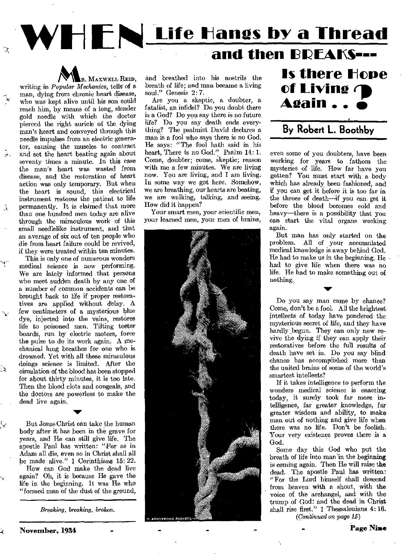# WHEN Life Hangs by a Thread

## and then **BDFAKS---**



writing in *Popular Mechanics*, tells of a man, dying from chronic heart disease, who was kept alive until his son could reach him, by means of a long, slender gold needle with which the doctor pierced the right auricle of the dying man's heart and conveyed through this needle impulses from an electric generator, causing the muscles to contract and set the heart beating again about seventy times a minute. In this case the man's heart was wasted from disease, and the restoration of heart action was only temporary. But when the heart is sound, this electrical instrument restores the patient to life permanently. It is claimed that more than one hundred men today are alive through the miraculous work of this small needlelike instrument, and that an average of six out of ten people who die from heart failure could be revived, if they were treated within ten minutes.

 $\lambda$ 

্র

This is only one of numerous wonders medical science is now performing. We are lately informed that persons who meet sudden death by any one of a number of common accidents can be brought back to life if proper restoratives are applied without delay. A few centimeters of a mysterious blue dye, injected into the veins, restores life to poisoned men. Tilting teeter boards, run by electric motors, force the pulse to do its work again. A mechanical lung breathes for one who is drowned. Yet with all these miraculous doings science is limited. After the circulation of the blood has been stopped for about thirty minutes, it is too late. Then the blood clots and congeals, and the doctors are powerless to make the dead live again.

But Jesus Christ can take the human body after it has been in the grave for years, and He can still give life. The apostle Paul has written: "For as in Adam all die, even so in Christ shall all be made alive." 1 Corinthians 15: 22. How can God make the dead live again? Oh, it is because He gave the

 $\blacktriangledown$ 

life in the beginning. It was He who "formed man of the dust of the ground,

*Breaking, breaking, broken.* 

Are you a skeptic, a doubter, a fatalist, an infidel? Do you doubt there is a God? Do you say there is no future life? Do you say death ends everything? The psalmist David declares a man is a fool who says there is no God. He says: "The fool hath said in his heart, There is no God." Psalm 14: 1. Come, doubter; come, skeptic; reason with me a few minutes. We are living now. You are living, and I am living. In some way we got here. Somehow, we are breathing, our hearts are beating, we are walking, talking, and seeing. How did it happen?

Your smart men, your scientific men, your learned men, your men of brains,



**Is there Hone of Living**  $\bigoplus$ <br>**Again** . .  $\bigoplus$ 

### **By Robert L. Boothby**

even some of you doubters, have been working for years to fathom the mysteries of life. How far have you gotten? You must start with a body which has already been fashioned, and if you can get it before it is too far in the throes of death—if you can get it before the blood becomes cold and heavy—there is a possibility that you can start the vital organs working again.

But man has only started on the problem. All of your accumulated medical knowledge is away behind God. He had to make us in the beginning. He had to give life when there was no life. He had to make something out of nothing,

Do you say man came by chance? Come, don't be a fool. All the brightest intellects of today have pondered the mysterious secret of life, and they have hardly begun. They can only now revive the dying if they can apply their restoratives before the full results of death have set in. Do you say blind chance has accomplished more than the united brains of some of the world's smartest intellects?

If it takes intelligence to perform the wonders medical science is enacting today, it surely took far more intelligence, far greater knowledge, far greater wisdom and ability, to make man out of nothing and give life when there was no life. Don't be foolish. Your very existence proves there is a God.

Some day this God who put the breath of life into man 'in the beginning is coming again. Then He will raise the dead. The apostle Paul has written: "For the Lord himself shall descend from heaven with a shout, with the voice of the archangel, and with the trump of God: and the dead in Christ shall rise first." 1 Thessalonians 4:16. *(Continued on page 15)* 

November, 1934

Page Nine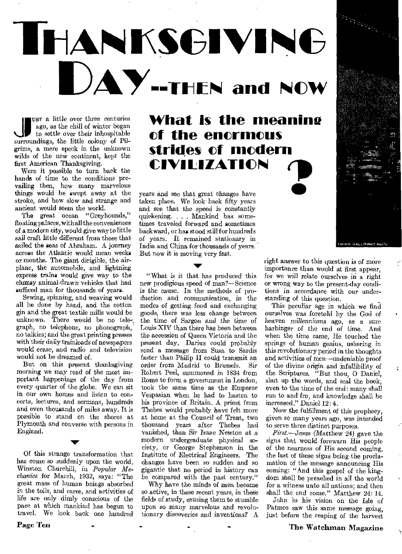# THAN**KSGIVI**NG **UAY---tursi and NOW**

ago, as the chill of winter began<br>
to settle over their inhospitable<br>
surroundings, the little colony of Pilusm a little over three centuries ago, as the chill of winter began to settle over their inhospitable grims, a mere speck in the unknown wilds of the new continent, kept the first American Thanksgiving.

Were it possible to turn back the hands of time to the conditions prevailing then, how many marvelous things would be swept away at the stroke, and how slow and strange and ancient would seem the world.

The great ocean "Greyhounds," floating palaces, with all the conveniences of a modern city, would give way to little sail craft little different from those that sailed the seas of Abraham. A journey across the Atlantic would mean weeks or months. The giant dirigible, the airplane, the automobile, and lightning express trains would give way to the clumsy animal-drawn vehicles that had sufficed man for thousands of years.

Sewing, spinning, and weaving would all be done by hand, and the cotton gin and the great textile mills would be unknown. There would be no tele-, graph, no telephone, no phonograph, no talkies; and the great printing presses with their daily trainloads of newspapers would cease, and radio and television would not be dreamed of.

But on this present thanksgiving morning we may read of the most important happenings of the day from every quarter of the globe. We can sit in our own homes and listen to concerts, lectures, and sermons, hundreds and even thousands of miles away. It is possible to stand on the shores at Plymouth and converse with persons in England.

Of this strange transformation that has come so suddenly upon the world, Winston Churchill, in *Popular Mechanics* for March, 1932, says: "The great mass of human beings absorbed in the toils, and cares, and activities of life are only dimly conscious of the pace at which mankind has begun to travel. We look back one hundred

 $\blacktriangledown$ 

**What is the meanine of the enormous strides of modern CIVILIZATION**   $\bullet$ 

years and sec that great changes have taken place. We look back fifty years and see that the speed is constantly quickening. . . Mankind has sometimes traveled forward and sometimes backward, or has stood still for hundreds of years. It remained stationary in India and China for thousands of years. But now it is moving very fast.

**IF** 

"What *is* it that has produced this new prodigious speed of man?--Science is the cause. In the methods of production and communication, in the modes of getting food and exchanging goods, there was less change between the time of Sargon and the time *of*  Louis XIV than there has been between the accession of Queen Victoria and the present day. Darius could probably send a message from Susa to Sardis faster than Philip II could transmit an order from Madrid to Brussels. Sir Robert Peel, summoned in 1834 from Rome to form a government in London, took the same time as the Emperor Vespasian when he had to hasten to his province of Britain. A priest from Thebes would probably have felt more at home at the Council of Trent, two thousand years after Thebes had vanished, than Sir Isaac Newton at *a*  modern undergraduate physical society, or George Stephenson in the Institute of Electrical Engineers. The changes have been so sudden and so gigantic that no period in history can be compared with the past century."

Why have the minds of men become so active, in these recent years, in these fields of study, causing them to stumble upon so many marvelous and revolutionary discoveries and inventions? A right answer to this question is of more importance than would at first appear, for we will relate ourselves in a right or wrong way to the present-day conditions in accordance with our understanding of this question.

This peculiar age in which we find ourselves was foretold by the God of *heaven* millenniums ago, as a sure harbinger of the end of time. And when the time came, He touched the springs of human genius, ushering in this revolutionary period in the thoughts and activities of men—undeniable proof of the divine origin and infallibility of the Scriptures. "But thou, 0 Daniel, shut up the words, and seal the book, even to the time of the end: many shall run to and fro, and knowledge shall be increased." Daniel 12:4.

Now the fulfillment of this prophecy, given so many years ago, was intended to serve three distinct purposes.

*First—Jesus* (Matthew 24) gave the signs that would forewarn His people of the nearness of His second coming, the last of these signs being the proclamation of the message announcing His coming: "And this gospel of the kingdom shall be preached in all the world for a witness unto all nations; and then shall the end come." Matthew 24: 14.

John in his vision on the Isle of Patmos saw this same message going, just before the reaping of the harvest

#### The Watchman Magazine

Page Ten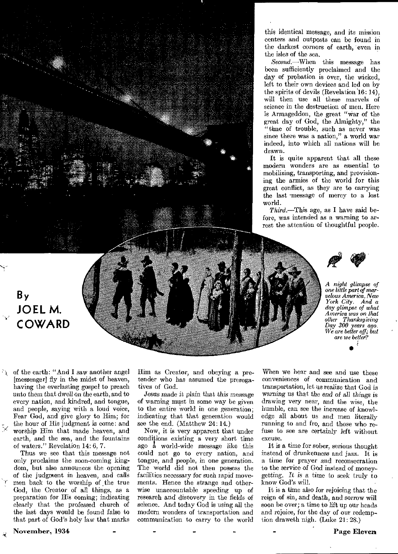

this identical message, and its mission centers and outposts can be found in the darkest corners of earth, even in the isles of the sea.

*Second.—When* this message has been sufficiently proclaimed and the day of probation is over, the wicked, left to their own devices and led on by the spirits of devils (Revelation 16: 14), will then use all these marvels of science in the destruction of men. Here is Armageddon, the great "war of the great day of God, the Almighty," the "time of trouble, such as never was since there was a nation," a world war indeed, into which all nations will be drawn.

It is quite apparent that all these modern wonders are as essential to mobilizing, transporting, and provisioning the armies of the world for this great conflict, as they are to carrying the last -message of mercy to a lost world.

*Third.—This* age, as I have said before, was intended as a warning to arrest the attention of thoughtful people.



*A night glimpse of one little part of marvelous America, New York City. And a day glimpse of what America was on that other Thanksgiving Day 300 years ago. We are better off; but are we better?*  •

### **By JOEL M. COWARD**

of the earth: "And I saw another angel [messenger] fly in the midst of heaven, having the everlasting gospel to preach unto them that dwell on the earth, and to every nation, and kindred, and tongue, and people, saying with a loud voice, Fear God, and give glory to Him; for the hour of His judgment is come: and worship Him that made heaven, and earth, and the sea, and the fountains of waters." Revelation 14: 6, 7.

Thus we see that this message not only proclaims the soon-coming kingdom, but also announces the opening of the judgment in heaven, and calls men back to the worship of the true God, the Creator of all things, as a preparation for His coming; indicating clearly that the professed church of the last days would be found false to that part of God's holy law that marks Him as Creator, and obeying a pretender who has assumed the prerogatives of God.

Jesus made it *plain* that this message of warning must in some way be given to the entire world in one generation; indicating that that generation would see the end. (Matthew 24: 14.)

Now, it is very apparent that under conditions existing a very short time ago a world-wide message like this could not go to every nation, and tongue, and people, in one generation. The world did not then possess the facilities necessary for such rapid movements. Hence the strange and otherwise unaccountable speeding up of research and discovery in the fields of science. And today God is using all the modern wonders of transportation and communication to carry to the world

When we hear and see and use these conveniences of communication and transportation, let us realize that God is *waning* us that the *end of all things* is drawing very near, and the wise, the humble, can see the increase of knowledge all about us and men literally running to and fro, and those who refuse to see are certainly left without excuse.

It is a time for sober, serious thought instead of drunkenness and jazz. It is a time for prayer and reconsecration to the service of God instead of moneygetting. It *is* a time to seek truly to know God's will.

It is a time also for rejoicing that the reign of sin, and death, and sorrow will soon he over; a time to lift up our heads and rejoice, for the day of our redemption draweth nigh. (Luke 21: 28.)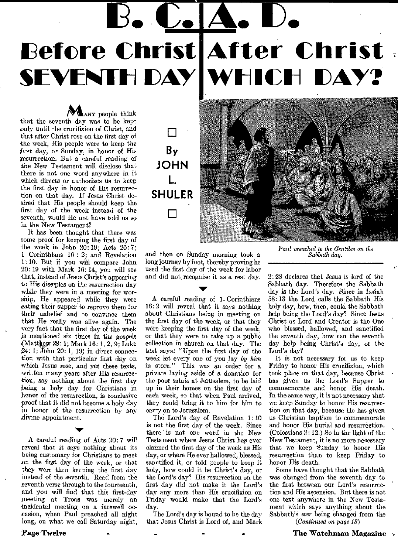# Before Christ **After Christ SEVENTH DAY A. D. WI-11CH DAY?**

**MANY** people think that the seventh day was to be kept only until the crucifixion of Christ, and that after Christ rose on the first day of the week, His people were to keep the first day, or Sunday, in honor of His resurrection. But a careful reading of the New Testament will disclose that there is not one word anywhere in it which directs or authorizes us to keep the first day in honor of His resurrection on that day. If Jesus Christ desired that His people should keep the first day of the week instead of the seventh, would He not have told us so in the New Testament?

It has been thought that there was some proof for keeping the first day of the week in John  $20:19$ ; Acts  $20:7$ ; 1 Corinthians 16 : 2; and Revelation 1: 10. But if you will compare John 20: 19 with Mark 16: 14, you will see that, instead of Jesus Christ's appearing -to His disciples on the resurrection day -while they were in a meeting for worship, He appeared while they were eating their supper to reprove them for -their unbelief and to convince them that He really was alive again. The very fact that the first day of the week is mentioned six times in the gospels (Mattliew 28: 1; Mark 16: 1, 2, 9; Luke  $24:1$ ; John  $20:1$ , 19) in direct connection with that particular first day on which Jesus rose, and yet these texts, written many years after His resurrection, say nothing about the first day being a holy day for Christians in honor of the resurrection, is conclusive proof that it did not become a holy day in honor of the resurrection by any divine appointment.

A careful reading of Acts 20: 7 will reveal that it says nothing about its being customary for Christians to meet on the first day of the week, or that they were then keeping the first day instead of the seventh. Read from the seventh verse through to the fourteenth, and you will find that this first-day meeting at Troas was merely an incidental meeting on a farewell occasion, when Paul preached all night long, on what we call Saturday night,

# **By JOHN L. SHULER 0 •**

and then on Sunday morning took a long journey byfoot, thereby proving he used the first day of the week for labor and did not recognize it as a rest day.

A careful reading of 1- Corinthians 16: 2 will reveal that it says nothing about Christians being in meeting on the first day of the week, or that they were keeping the first day of the week, or that they were to take up a public collection in ehurch on that day. The text says: "Upon the first day of the week let every one of you lay *by him*  in store." This was an order for a private laying aside of a donation for the poor saints at Jerusalem, to be laid up in their homes on the first day of each week, so that when Paul arrived, they could bring it to him for him to carry on to Jerusalem.

The Lord's day of Revelation 1: 10 is not the first day of the week. Since there is not one word in the New Testament where Jesus Christ has ever claimed the first day of the week as His day, or where He ever hallowed, blessed, sanctified it, or told people to keep it holy, how could it be Christ's day, or the Lord's day? His resurrection on the first day did not make it the Lord's day any more than His crucifixion on Friday would make that the Lord's day.

The Lord's day is bound to be the day that Jesus Christ is Lord of, and Mark *Paul preached to the Gentiles on the Sabbath day.* 

2: 28 declares that Jesus is lord of the Sabbath day. Therefore the Sabbath day is the Lord's day. Since in Isaiah 58: 13 the Lord calls the Sabbath His holy day, how, then, could the Sabbath help being the Lord's day? Since Jesus Christ as Lord and Creator is the One who blessed, hallowed, and sanctified the seventh day, how can the seventh day help being Christ's day, or the Lord's day?

It is not necessary for us to keep Friday to honor His crucifixion, which took place on that day, because Christ has given us the Lord's Supper to commemorate and honor His death. In the same way, it is not necessary that we keep Sunday to honor His resurrection on that day, because He has given us Christian baptism to commemorate and honor His burial and resurrection. (Colossians 2: 12.) So in the light of the New Testament, it is no more necessary that we keep Sunday to honor His resurrection than to keep Friday to honor His death.

Some have thought that the Sabbath was changed from the seventh day to the first between our Lord's resurrection and His ascension. But there is not one text anywhere in the New Testament which says anything about the Sabbath's *ever* being changed from the *(Continued on page 18)* 

?age Twelve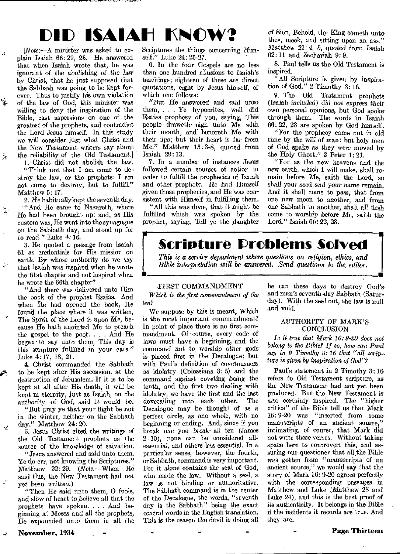# **MID ISAIAH !KNOW?**

*[Note.—A* minister was asked to explain Isaiah 66: 22, 23. He answered that when Isaiah wrote that, he was ignorant of the abolishing of the law by Christ, that he just supposed that the Sabbath was going to be kept forever. Thus to justify his own violation of the law of God, this minister was willing to deny the inspiration of the Bible, cast aspersions on one of the greatest of the prophets, and contradict the Lord Jesus himself. In this study we will consider just what Christ and the New Testament writers say about the reliability *of* the Old Testament.]

ίX,

 $\frac{1}{2} \sum_{i=1}^N$ 

Ã

طي

 $\chi^2$ 

 $\searrow$ 

 $\overrightarrow{a}$ 

1. Christ did not abolish the law. "Think not that I am come to destroy the law, or the prophets: I am not come to destroy, but to fulfill." Matthew 5: 17.

2. He habitually kept the seventh day. "And He came to Nazareth, where He had been brought up: and, as His custom was, He went into the synagogue on the Sabbath day, and stood up for to read." Luke 4: 16.

3. He quoted a passage from Isaiah 61 as credentials for His mission on earth. By whose authority do we say that Isaiah was inspired when he wrote the filst chapter and not inspired when he wrote the 66th chapter?

"And there was delivered unto Him the book of the prophet Esaias. And when He had opened the book, He found the place where it was written, The *Spirit of* 'the Lord *is* upon Me, because He hath anointed Me to preach the gospel to the poor... And He began to say unto them, This day is this scripture fulfilled in your ears." Luke 4: 17, 18, 21.

4. Christ commanded the Sabbath to be kept after His ascension, at the destruction of Jerusalem. If it is to be kept at all after His death, it will be kept in eternity, just as Isaiah, on the *authority* of God, said it would be.

"But pray ye that your flight be not in the winter, neither on the Sabbath day." Matthew 24: 20.

5. Jesus Christ cited the writings of the Old Testament prophets as the source of the knowledge of salvation. "Jesus answered and said unto them. Ye do err, not knowing the Scriptures." Matthew 22: 29. *(Note.—When* He said this, the New Testament had not yet been written.)

"Then He said unto them, 0 fools, and slow of heart to, believe all that the prophets have spoken. . . . And beginning at Moses and all the prophets, He expounded unto them in all the Scriptures the things concerning Himself." Luke 24: 25-27.

6. In the four Gospels are no less than one hundred allusions to Isaiah's teachings; eighteen of these are direct quotations, eight by Jesus himself, of which one follows:

"But He answered and said unto them, . . . Ye hypocrites, well did Esaias prophesy of you, saying, This people draweth nigh unto Me with their mouth, and honoreth Me with their lips; but their heart is far from Me." Matthew 15: 3-8, quoted from Isaiah 29: 13.

7. In a number of instances Jesus followed certain courses of action in order to fulfill the prophecies of Isaiah and other prophets. He *had* Himself given those prophecies, and He was consistent with Himself in fulfilling them.

"All this was done, that it might be fulfilled which was spoken by the prophet, saying, Tell ye the daughter

of Sion, Behold, thy King cometh unto thee, meek, and sitting upon an ass." Matthew 21: 4, 5, quoted *from* Isaiah  $62:11$  and Zechariah 9:9.

8. Paul tells us he Old Testament is inspired.

"All Scripture is given by inspiration of God." 2 Timothy 3:16.

9. The Old Testament prophets (Isaiah included) did not express their own personal opinions, but God spoke through them. The words in Isaiah 66: 22, 23 are spoken by God himself.

"For the prophecy came not in old time by the will of man: bat holy men of God spake as they were moved by the Holy Ghost." 2 Peter 1: 21.

"For as the new heavens and the new earth, which I will make, shall remain before Me, saith the Lord, so shall your seed and *your name remain.*  And it shall come to pass, that from one new moon to another, and from one Sabbath to another, shall all flesh come to worship before Me, saith the Lord." Isaiah 66: 22, 23.

**Scripture IDroblems Solved**  *This is a service department where questions on religion, ethics, and Bible interpretation will be answered. Send questions to the editor.* 

#### FIRST COMMANDMENT

*Which is the first commandment of the ten?* 

We suppose by this is meant, Which is the most important commandment? In point of place there is no first commandment. Of -course, every code of laws must have a beginning, and the command not to worship other gods is placed first in the Decalogue; but with Paul's definition of covetousness as idolatry (Colossians 3: 5) and the command against coveting being the tenth, and the first two dealing with idolatry, we have the first and the last<br>dovetailing into each other. The dovetailing into each other. Decalogue may be thought of as a perfect circle, as one whole, with no beginning or ending. And, since if you break one you break- all ten (James 2: 10), none can be considered allessential, and others less essential. In a particular sense, however, the fourth, or Sabbath, command is very important. For it alone contains the seal of God, who made the law. Without a seal, a law is not binding- or authoritative. The Sabbath command is in the center of the Decalogue, the words, "seventh day is the Sabbath" being the exact central words in the English translation. This is the reason the devil is doing all he can these days to destroy God's and man's seventh-day Sabbath (Saturday). With the seal out, the law is null and void.

<u>।</u><br>■

#### AUTHORITY OF MARX'S CONCLUSION

*Is it true that Mark 16: 9-20 does not belong to the Bible? If so, how can Paul say in 2 Timothy 3: 16 that "all scripture is given by inspiration of God"?* 

Paul's statement in 2 Timothy 3: 16 refers to Old Testament scripture, *as*  the New Testament had not yet been produced. But the New Testament is also certainly inspired. The "higher critics" of the Bible tell us that Mark 16: 9-20 was "inserted from some manuscripts of an ancient source," intimating, of course, that Mark did not write these verses. Without taking space here to controvert this, and assuring our questioner that all the Bible was gotten *from "manuscripts of an*  ancient source," we would say that the story of Mark 16: 9-20 agrees perfectly with the corresponding passages in Matthew and Luke (Matthew 28 and Luke 24), and this is the best proof of its authenticity. It belongs in the Bible if the incidents it records are true. And they are.

Page Thirteen

November, 1934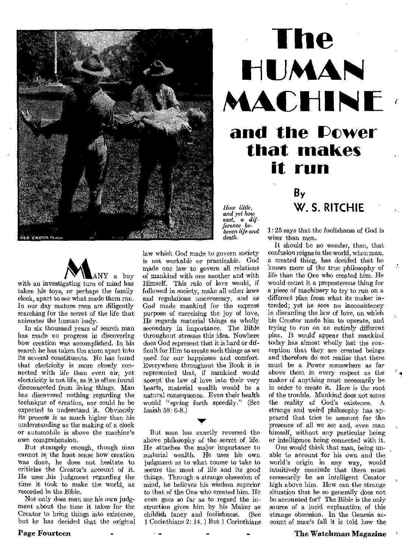

# **The IHIUMAIN**  MACHINE and the Power **that makes it run By**

*How little, and yet how vast, a dif-ference between life arid death.* 



with an investigating turn of mind has taken his toys, or perhaps the family clock, apart to see what made them run. In our day mature men are diligently searching for the secret of the life that animates the human body.

In six thousand years of search man has made no progress in discovering how creation was accomplished. In his search he has taken the atom apart into its several constituents. He has found that electricity is more closely connected with life than even air, yet electricity is not life, as it is often found disconnected from living things. Man has discovered nothing regarding the technique of creation, nor could he be expected to understand it. Obviously its process is as much higher than his understanding as the making of a clock or automobile is above the machine's own comprehension.

But strangely enough, though man cannot in the least sense how creation was done, he does not hesitate to criticize the Creator's account of it. He uses ,his judgment regarding the time it took to make the world, as recorded in the Bible.

Not only does man use his own judgment about the time it takes for the Creator to bring things into existence, but he has decided that the original

Page Fourteen

law which God made to govern society is not workable or practicable. God made one law to govern all relations of mankind with one another and with Himself. This rule of love would, if followed in society, make all other laws and regulations unnecessary, and as God made mankind for the express purpose of exercising the joy of love, He regards material things as wholly secondary in importance. The Bible throughout stresses this idea. Nowhere does God represent that it is hard or difficult for Him to create such things as we need for our happiness and comfort. Everywhere throughout the Book it is represented that, if mankind would accept' the law of love into their very hearts, material wealth would be a natural consequence. Even their health would "spring forth speedily." (See Isaiah 58: 6-8.)

But man has exactly reversed the above philosophy of the secret of life. He attaches the major importance to material wealth. He uses his own judgment as to what course to take to secure the most of life and its good things. Through a strange obsession of mind, he believes his wisdom superior to that of the One who created him. He even goes so far as to regard the instruction given him by his Maker as<br>childish fancy and foolishness. (See childish fancy and foolishness. I Corinthians 2: 14. ) But 1 Corinthians 1: 25 says that the foolishness of God is wiser than men.

**W. S. RITCHIE** 

It should be no wonder, then, that confusion reigns in the world, when man, a created thing, has decided that he knows more of the true philosophy of life than the One who created him. He would count it a preposterous thing for a piece of machinery to try to run on a different plan from what its maker intended; yet he sees no inconsistency in discarding the law of love, on which his Creator made him to operate, and trying to run on an entirely different plan. It would' appear that mankind today has almost wholly lost the conception that they are created beings and therefore do not realize that there must be a Power somewhere as far above them in every respect as the maker of anything must necessarily be in order to create it. Here is the root of the trouble, Mankind does not sense the reality of God's existence. A strange and weird philosophy has appeared that tries to account for the presence of all we see and, even man himself, without any particular being or intelligence being connected with it.

One would think that man, being unable to account for his own and the world's origin in any way, would intuitively conclude that there must necessarily be an intelligent Creator high above him. How can the strange situation that he so generally does not be accounted for? The Bible is the only source of a lucid explanation of this strange obsession. In the Genesis account of man's fall it is told how the

The Watchman Magazine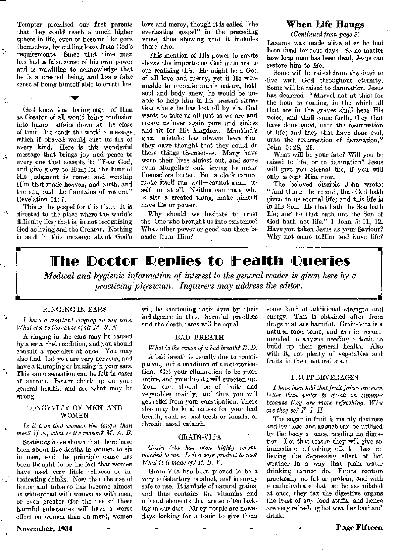Tempter promised our first parents that they could reach a much' higher sphere in life, even to become like gods themselves, by cutting loose from God's requirements. Since that time man has had a false sense of his own power and is unwilling to acknowledge that he is a created being, and has a false sense of being himself able to create life.

God knew that losing sight of Him as Creator of all would bring confusion into human affairs down at the close of time. He sends the world a message which if obeyed would cure its ills of every kind. Here is this wonderful message that brings joy and peace to every one that accepts it: "Fear God, and give glory to Him; for the hour of His judgment is come: and worship Him that made heaven, and earth, and the sea, and the fountains of waters." Revelation 14: 7.

This is the gospel for this time. It is directed to the place where the world's difficulty lies; that is, in not recognizing God as living and the Creator. Nothing is said in this message about God's

 $\lambda$ 

 $\tilde{\times}$ 

 $\overline{z}$ 

Ã

love and mercy, though it is called "the everlasting gospel", in the preceding verse, thus showing that it includes these also.

This mention of His power to create shows the importance God attaches to our realizing this. He might be a God of all love and mercy, yet if He were unable to recreate man's nature, both soul and body anew, he would be unable to help him in his present situation where he has lost all by sin. God wants to take us all just as we are and create us over again pure and sinless and fit for His kingdom. Mankind's great mistake has always been that they have thought that they could do these things themselves. Many have worn their lives almost out, and some even altogether out, trying to make themselves better. But a clock cannot make itself run well—cannot make itself run at all. Neither can man, who is also a created thing, make himself have life or power.

Why should we hesitate to trust the One who brought us into existence? What other power or good can there be aside from Him?

#### When Life Hangs

*(Continued from page 9)* 

Lazarus was made alive after he had been dead for four days. So no matter how long man has been dead, Jesus can restore him to life.

Some will be raised from the dead to -live with God throughout eternity. Some will be raised to damnation. Jesus has declared: "Marvel not at this: for the hour is coming, in the which all that are in the graves shall hear His voice, and shall come forth; they that have done good, unto the resurrection of life; and they that have done evil, unto the resurrection of damnation." John 5:28, 29.

What will be your fate? Will you be raised to life, or to damnation? Jesus will give you eternal life, if you will only accept Him now.

The beloved disciple John wrote: "And this is the record, that God hath given to us eternal life; and this life is in His Son. He that hath the Son hath life; and he that hath not the Son of God hath not life." 1 John 5:11, 12. Have you taken Jesus as your Saviour? Why not come toHim and have life?

### **The Doctor Replies to Health Queries**

*Medical and hygienic information of interest to the general reader is given here by a practicing physician. Inquirers may address the editor.* 

#### RINGING IN EARS

*I have* a *constant ringing in my ears. What can be the cause of it? M. R. N.* 

A ringing in the ears may be caused by a catarrhal condition, and you should consult a specialist at once. You may also find that you are very nervous, and have a thumping or buzzing in your ears. This same sensation can be felt in cases of anemia. Better check up on your general health, and see what may be wrong.

#### LONGEVITY OF MEN AND WOMEN

*Is it true that women live longer than men? If so, what is the reason? M. A. B.* 

Statistics have shown that there have been about five deaths in women to six in men, and the principle cause has been thought to be the fact that women have used very little tobacco or intoxicating drinks. Now that the use of liquor and tobacco has become almost as widespread with women as with men, or even greater (for the use of these harmful substances -will have a worse effect on women than on men), women

November, 1934

will be shortening their lives by their indulgence in these harmful practices and the death rates will be equal.

#### BAD BREATH

*What is the cause of a bad breath? B.* D.

A bad breath is usually due to constipation, and a condition of autointoxication. Get your elimination to be more active, and your breath will sweeten up. Your diet should be of fruits and vegetables mainly, and thus you will get relief from your constipation. There also may be local causes for your bad breath, such as bad teeth or tonsils, or chronic nasal catarrh.

#### GRAIN-VITA

*(train-Vita has been highly recom mended to me. Is it a safe product to use? What is it made of? R. B. V.* 

Grain-Vita has been proved to be a very satisfactory product, and is surely safe to use. It is made of natural grains. and thus contains the vitamins and mineral elements that are so often lacking in our diet. Many people are nowadays looking for a tonic to give them

some kind of additional strength and energy. This is obtained often from drugs that are harmful. Grain-Vita is a natural food tonic, and can be recommended to anyone needing a tonic to build up their general health. Also with it, eat plenty of vegetables and fruits in their natural state.

#### FRUIT BEVERAGES

*I have been told that fruit juices are even better than water to drink in summer because they are more refreshing. Why are they so? F. I. H.* 

The sugar in fruit is mainly dextrose and levulose, and as such can be utilized by the body at once, needing no digestion. For that reason they will give an immediate refreshing effect, thus relieving the depressing effect of hot weather in a way that plain water drinking cannot do. Fruits contain practically no fat or protein, and with a carbohydrate that can be assimilated at once, they tax the digestive organs the least of any food stuffs, and hence are very refreshing hot weather food and drink.

Page Fifteen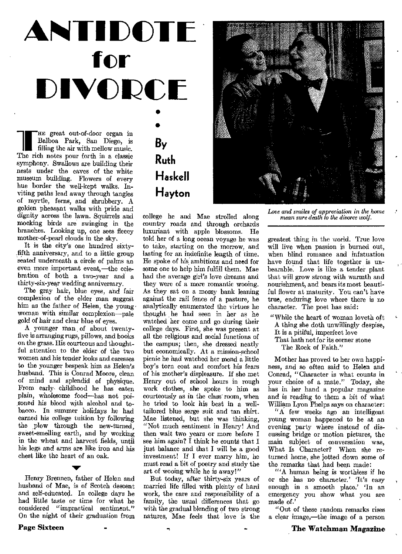# **ANTIDOT for DIVORCE**  •<br>● •<br>•

**1 HE** great out-of-door organ in Balboa Park, San Diego, is filling the air with mellow music. The rich notes pour forth in a classic symphony. Swallows are building their nests under the eaves of the white museum building. Flowers of every hue border the well-kept walks. Inviting paths lead away through tangles of myrtle, ferns, and shrubbery. A golden pheasant walks with pride and dignity across the lawn. Squirrels and mocking birds are swinging in the branches. Looking up, one sees fleecy mother-of-pearl clouds in the sky,

It is the city's one hundred sixtyfifth anniversary, and to a little group seated underneath a circle of palms an even more important event,—the celebration of both a two-year and a thirty-six-year wedding anniversary.

The gray hair, blue eyes, and fair complexion of the elder man suggest him as the father of Helen, the young woman with similar complexion—pale gold of hair and clear blue of eyes.

A younger man of about twentyfive is arranging rugs, pillows, and books on the grass. His courteous and thoughtful attention to the elder of the two women and his tender looks and caresses to the younger bespeak him as Helen's husband. This is Conrad Moore, clean of mind and splendid of physique. From early childhood he has eaten plain, wholesome food—has not poisoned his blood with alcohol and tobacco. In summer holidays he had earned his college tuition by following the plow through the new-turned, sweet-smelling earth, and by working in the wheat and harvest fields, until his legs and arms are like iron and his chest like the heart of an oak.

Henry Brennen, father of Helen and husband of Mae, is of Scotch descent and self-educated. In college days he had little taste or time for what he considered "impractical sentiment." On the night of their graduation from

V.

#### **Page Sixteen**

# **By Ruth Haskell Hayton**

college he and Mae strolled along country roads and through orchards luxuriant with apple blossoms. He told her of a long ocean voyage he was to take, starting on the morrow, and lasting for an indefinite length of time. He spoke of his ambitions and need for some one to help him fulfill them. Mae had the average girl's love dreams and they were of a more romantic wooing. As they sat on a mossy bank leaning against the rail fence of a pasture, he analytically enumerated the virtues he thought he had seen in her as he watched her come and go during their college days. First, she was present at all the religious and social functions of the campus; then, she dressed neatly but economically. At a mission-school picnic he had watched her mend a little boy's torn coat and comfort his fears of his mother's displeasure. If she met Henry out of school hours in rough work clothes, she spoke to him as courteously as in the class' room, when he tried to look his best in a welltailored blue serge suit and tan shirt. Mae listened, but she was thinking, "Not much sentiment in Henry! And then wait two years or more before I see him again? I think he counts that I just balance and that I will be a good investment! If I ever marry him, he must read a bit of poetry and study the art of wooing while he is away!"

But today, after thirty-six years of married life filled with plenty of hard work, the care and responsibility of a family, the usual differences that go with the gradual blending of two strong natures, Mae feels that love is the



*Love and smiles of appreciation in the home mean sure death to the divorce wolf.* 

greatest thing in the world. True love will live when passion is burned out, when blind romance and infatuation have found that life together is unbearable. Love is like a tender plant that will grow strong with warmth and nourishment, and bears its most beautiful flower at maturity. You can't have true, enduring love where there is no character. The poet has said:

- "While the heart of woman loveth oft A thing she doth unwillingly despise, It is a pitiful, imperfect love
	- That hath not for its corner stone The Rock of Faith."

Mother has proved to her own happiness, and so often said to Helen and Conrad, "Character is what counts in your choice of a mate." Today, she has in her hand a popular magazine and is reading to them a bit of what William Lyon Phelps says on character:

"A few weeks ago an intelligent young woman happened to be at an evening party where instead of discussing bridge or motion pictures, the main subject of conversation was, What Is Character? When she returned home, she jotted down some of the remarks that had been made:

"'A human being is worthless if he or she has no character.' It's easy enough in a smooth place.' In an emergency you show what you are made of.'

"Out of these random remarks rises a clear image,—the image of a person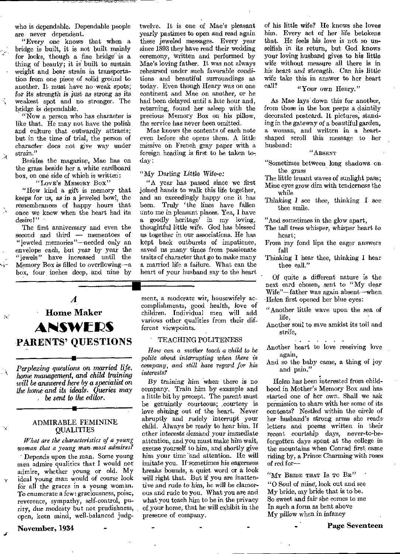who is dependable. Dependable people are never dependent.

"Every one knows that when a bridge is built, it is not built mainly for looks, though a fine bridge is a thing of beauty; it is built to sustain weight and bear strain in transportation from one piece of solid ground to another. It must have no weak spots; for its *strength is* just as strong *as* its weakest spot and no stronger. The bridge is dependable.

"Now a person who has character is like that. He may not have the polish and culture that outwardly attracts; but in the time of trial, the person of *character* does not give way under strain."

Besides the magazine, Mae has on the grass beside her a white cardboard box, on one side of which is written:

्रे

Ñ

"Love's MEMORY Box"

"How kind a gift is memory that keeps for us, *as in* a jeweled bowl, the remembrances of happy hours that once we knew when the heart had its desire!"

The first anniversary and even the second and third — mementoes of "jeweled memories"—needed only an envelope each, but *year by* year the "jewels" have increased until the Memory Box is filled to overflowing—a box, four, inches deep, and nine by

### *A*  • Home Maker **ANSWERS PARENTS' QUESTIONS**

*Perplexing questions on married life, home management, and child training will be answered here by a specialist on the home and its ideals. Queries may be sent to the editor.* 

#### ADMIRABLE FEMININE QUALITIES

*What are the characteristics of a young woman that a young man. most admires?* 

Depends upon the man. Some young men admire qualities that I would not admire, whether young or old. My ideal young man would of course look for all the graces in a young woman. To enumerate a few: graciousness, poise, reverence, sympathy, self-control, purity, due modesty but not prudishness, open, keen mind, well-balanced judgtwelve. It is one of Mae's pleasant yearly pastimes to open and read again these jeweled messages. Every year since 1893 they have read their wedding ceremony, written and performed by Mae's loving father. It was not always rehearsed under such favorable conditions and beautiful surroundings as today. Even though Henry was on one continent and Mae on another, or he had been delayed until a late hour and, returning, found her asleep with the precious Memory Box on his pillow, the service has never been omitted.

Mae knows the contents of each note even before she opens them. A little missive on French gray paper with a foreign heading is first to be taken today :

#### "My Darling Little *Wife-e:*

"A year has passed since we first joined hands to walk this life together, and an exceedingly happy one it has been. Truly 'the lines have fallen unto me in pleasant places. Yea, I have a goodly heritage' in my loving, thoughtful little wife. God has blessed us together in our associations. He has kept back outbursts of impatience, saved us many times from passionate traits of character that go to make many a married life a failure. What can the heart of your husband say to the heart

ment, a moderate wit, housewifely accomplishments, good health, love of children. Individual men will add various other qualities from their different viewpoints.

#### ' TEACHING POLITENESS

*How can a mother teach a child to be polite about interrupting when there is company, and still have regard for his interests?* 

*By training* him when there is no company. Train him by example and a little bit by precept. The parent must be genuinely courteous; .courtesy is love shining out of the heart. Never abruptly and rudely interrupt your child. Always be ready to hear him. If other interests demand your immediate attention, and you must make him wait, excuse yourself to him, and shortly give him your time and attention. He will imitate you. If sometimes his eagerness breaks bounds, a quiet word or a look will right that. But if you are inattentive and rude to him, he will *be* clamorous and rude to you. What you are and what you teach him to be in the privacy of,your home, that he will exhibit in the presence of company.

of his little wife? He knows she loves him. Every act of her life betokens that. He feels his love is not so unselfish in its return, but God knows your loving husband gives to his little wife without measure all there is in his heart and *strength.* Can his little wife take this in answer to her heart call?

#### "Your own Henry."

As Mae lays down this for another, from those in the box peeps a daintily decorated postcard. It pictures, standing in the *gateway of* a beautiful garden, a woman, and written in a heartshaped scroll this message to her husband:

#### "ABSENT

"Sometimes between long shadows on the grass

- The little truant waves of sunlight pass; Mine eyes grow dim with tenderness the while
- Thinking I see thee, thinking I see thee smile.

"And sometimes in the glow apart,

- The tall trees whisper, whisper heart to heart;
- From my fond lips the eager answers fall
- Thinking I hear thee, thinking I hear thee call."

Of quite a different nature is the next card chosen, sent to "My dear Wife"—father was again absent—when Helen first opened her blue eyes:

- "Another little wave upon the sea of life,
- Another soul to save amidst its toil and strife,

Another heart to love receiving love again,

And so the baby came, a thing of joy and pain,"

Helen has been interested from childhood in Mother's Memory Box and has started one of her own. Shall we ask permission to share with her some of its contents? Nestled within the circle of her husband's strong arms she readsletters and poems written in their recent courtship days, never-to-beforgotten days spent at the college in the mountains when Conrad first came riding by, a Prince Charming with roses of red for—

"My BRIDE THAT IS TO  $Be$ " "0 Soul of mine, look out and *see*  My bride, my bride that is to be. So sweet and fair she comes to me In such a form as bent above My pillow when in infancy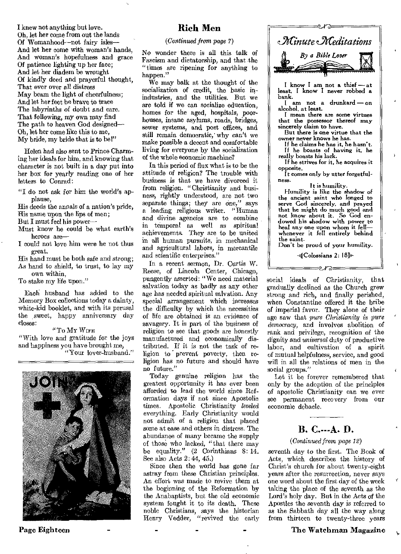I knew not anything but love. Oh, let her come from out the lands Of Womanhood—not fairy isles— And let her come with woman's hands, And woman's hopefulness and grace Of patience lighting up her face; And let her diadem be wrought Of kindly deed and prayerful thought, That ever over all distress May beam the light of cheerfulness; And let her feet be brave to trace The labyrinths of doubt and care. That following, my own may find The path to heaven God designed-Oh, let her come like this to me, My bride, my bride that is to be!"

Helen had also sent to Prince Charming her ideals for him, and knowing that character is not built in a day put into her box for yearly reading one of her letters to Conrad:

"I do not ask for him the world's applause,

His deeds the annals of a nation's pride, His name upon the lips of men;

But I must feel his power—

- Must know he could be what earth's heroes are—
- I could not love him were he not thus great.

His hand must be both safe and strong; As hand to shield, to trust, to lay my

own within,

To stake my life upon."

Each husband has added to the Memory Box collections today a dainty, white-kid booklet, and with its perusal the sweet, happy anniversary day closes:

#### "To MY WIFE

"With love and gratitude for the joys and happiness you have brought me, "Your lover-husband."



#### **Rich Men**

#### *(Continued from page 7)*

No wonder there is all this talk of Fascism and dictatorship, and that the "times are ripening for anything to happen."

We may balk at the thought of the socialization of credit, the basic inindustries, and the utilities. But we are told if we can socialize education, homes for the aged, hospitals, poorhouses, insane asylums, roads, bridges, sewer systems, and post offices, and still remain democratic,' why can't we make possible a decent and comfortable living for everyone by the socialization of the whole economic machine?

In this period of flux what is to be the attitude of religion? The trouble with business is that we have divorced it from religion. "Christianity and business, rightly understood, are not two separate things; they are one," says a leading religious writer. "Human and divine agencies are to combine in temporal as well as spiritual achievements. They are to be united in all human pursuits, in mechanical and agricultural labors, in mercantile and scientific enterprises."

In a recent sermon, Dr. Curtis W. Reese, of Lincoln Center, Chicago, pungently asserted: "We need material salvation today as badly as any other age has needed spiritual salvation. Any special arrangement which increases the difficulty by which the necessities of life are obtained is an evidence of savagery. It is part of the business of religion to see that goods are honestly manufactured and economically distributed. If it is not the task of religion to prevent poverty, then religion has no future and should have no future."

Today genuine religion has the greatest opportunity it has ever been afforded to lead the world since Reformation days if not since Apostolic times. Apostolic Christianity *leveled*  everything. Early Christianity would not admit of a religion that placed some at ease and others in distress. The abundance of many became the supply of those who lacked, "that there may be equality." (2 Corinthians 8:14. See also Acts 2:44, 45.)

Since then the world has gone far astray from these Christian principles. An effort was made to revive them at the beginning of the Reformation by the Anabaptists, but the old economic system fought it to its death. These noble Christians, says the historian Henry Vedder, "revived the early



I know I am not a thief — at least, I know I never robbed a bank.

I am not a drunkard — on alcohol, at least.

I mean there are some virtues that the possessor thereof may sincerely claim to have.

But there is one virtue that the owner never knows he has.

If he claims he has it, he hasn't. If he boasts of having it, he really boasts his lack.

If he *strives* for it, he acquires it opposite.

It comes only by utter forgetfulness.

It is humility. Humility *is* like the shadow of the ancient saint who longed to serve God sincerely, and prayed that he might do much good and not know about it. So God endowed his shadow with power to heal any one upon whom it fell whenever it fell entirely behind the saint.

Don't be proud of your humility.

d'(Colossians 2: 18)  $\sim$   $\sim$ 

social ideals of Christianity, that gradually declined as the Church grew strong and rich, and finally perished, when Constantine offered it the bribe of imperial favor. They alone of their age saw that *pure Christianity is pure democracy,* and involves abolition of rank and privilege, recognition of the dignity and *universal* duty of productive labor, and cultivation of a spirit of mutual helpfulness, service, and good will in all the relations of men in the social groups."

Let it be forever remembered that only by the adoption of the principles of apostolic Christianity can we ever see permanent recovery from our economic debacle.

#### **B. C.---A. D.**

#### *(Continued from page 12)*

seventh day to the first. The Book of Acts, which describes the history of Christ's church for about twenty-eight years after the resurrection, never says one word about the first day of the week taking the place of the seventh as the Lord's holy day. But in the Acts of the Apostles the seventh day is referred to as the Sabbath day all the way along from thirteen to twenty-three years

#### Page Eighteen - - - - - - - - - The Watchman Magazine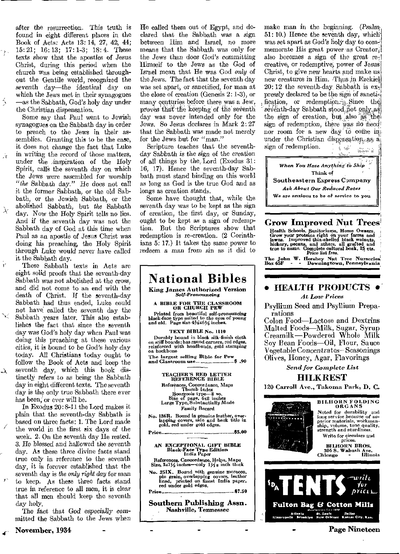after the resurrection. This truth is found in eight different places in the Book of Acts: Acts 13: 14, 27, 42, 44; 15:21; 16:13; 17:1-3; 18:4. These texts show that the apostles of Jesus Christ, during this period when the church was being established throughout the Gentile world, recognized the seventh day—the *identical* day on which the Jews met in their synagogues —as the Sabbath, God's holy day under the Christian dispensation.

 $\vec{\mathcal{A}}$ 

Ŵ

 $\lambda$ 

Ÿ

 $\lambda$ 

Some say that Paul went to Jewish synagogues on the Sabbath day in order to preach to the Jews in their assemblies. Granting this to be the case, it does not change the fact that Luke in writing the record of those matters, under the /inspiration of the Holy Spirit, calls the seventh day on which the Jews were assembled for worship *"the* Sabbath day." He does not call it the former Sabbath, or the old Sabbath, or the Jewish Sabbath, or the abolished Sabbath, but *the* Sabbath day. Now the Holy Spirit tells no lies. And if the seventh day was not the Sabbath day of God at this time when Paul as an apostle of Jesus Christ was doing his preaching, the Holy Spirit through Luke would never have called it the Sabbath day.

These Sabbath texts in Acts are eight solid proofs that the seventh-day Sabbath was not abolished at the cross, and did not come to an end with the death of Christ. If the seventh-day Sabbath had thus ended, Luke could not have called the seventh day the Sabbath years later. This also establishes the fact that since the seventh day was God's holy day when Paul was doing this preaching at these various cities, it is bound to *be* God's holy day today. All Christians today ought to follow the Book of Acts and keep the seventh day, which this book distinctly-refers to as being the Sabbath day in eight different texts. The seventh day is the only true Sabbath there ever has been, or ever will be.

In Exodus 20: 8-11 the Lord makes it plain that the seventh-day Sabbath is based on three facts: 1. The Lord made the world in the first six days of the week. 2. On the seventh day He rested. 3. He blessed and hallowed the seventh day. As these three divine facts stand true only in reference to the seventh day, it is forever established that the seventh day is *the only right* day for man to keep. As these three facts stand true in reference to all men, it is clear that all men should keep the seventh day holy.

The *fact that God especially committed* the Sabbath to the Jews when

November, 1934

He called them out of Egypt, and declared that the Sabbath was a sign between Him and Israel, no more means that the Sabbath was only for the Jews than does God's *committing*  Himself to the Jews as the God of Israel mean that He was God *only* of the Jews. The fact that the seventh day was set apart, or sanctified, for man at the close of creation (Genesis 2: 1-3), or many centuries before there was a Jew, proves that the keeping of the seventh day was never intended only for the Jews. So Jesus declares in Mark 2: 27 that the Sabbath was made not merely for the Jews but for "man."

Scripture teaches that the seventhday Sabbath is the sign *of* the creation of all things by the, Lord (Exodus 31: 16, 17). Hence the seventh-day Sabbath must stand binding on this world as long as God is the true God and as longs as creation stands.

Some have thought that, while the seventh day was to be kept as the sign of creation, the first day, or Sunday, ought to be kept as a sign of redemption. But the Scriptures show that redemption is re-creation. (2 Corinthians 5: 17.) It takes the same power to redeem a man *from* sin as it did to



make man in the beginning. (Psalm-51: 10.) Hence the seventh day, which was set apart as God's holy day to commemorate His great power as Creator; also becomes a sign of the great recreative, or redemptive, power of Jesus Christ, to give new hearts and make us new creatures in Him. Thus in Ezekiel  $20:12$  the seventh-day Sabbath is expressly declared to be the sign of sanctification, or redemption  $\mathbb{R}$ . Since the seventh-day Sabbath stood, not only, as the sign of creation, but also as the sign of redemption, there was no *need*! nor room for a new day to come in under the Christian dispensation, as a. sign of redemption.  $\mathbb{R}^n$ 

*When You Have* Anything to *Ship*  Think of Southeastern Express Company *Ask About Our Reduced Rates We are* anxious to be of service to you

Grow Improved Nut Trees

Health Schools, Sanitoriums, Home Owners.<br>Grow your proteins right on your farms and<br>lawns. Improved thia-shelled black wainuts,<br>hickory, pecans, and nthers, all grafted and<br>true to name. Complete cultural bonk, 25 cts.<br>Pr

The John W. Hershey Nut Tree Nurseries; Box 65F - - Downingtown, Pennsylvania

#### • HEALTH PRODUCTS •

#### *At Low Prices*

Psyllium Seed and Psyllium Preparations

Colon Food—Lactose and Dextrins Malted Foods—Milk, Sugar, Syrup Creamilk—Powdered Whole Milk Soy Bean Foods—Oil, Flour, Sauce Vegetable Concentrates— Seasonings Olives, Honey, Agar, Flavorings

*Send for Complete List* 

#### **HILK REST**

120 Carroll Ave., Takoma Park, B. C.



BILHORN FOLDING ORGANS Noted for durability and long service because of su-perior materials, workman-ship, volume, tone quality, strength and sturdiness. Write for circulars and

prices.<br>BILHORN BROS. BILHORN BROS. 306 S. Wabash Ave. Chicago - Illinois